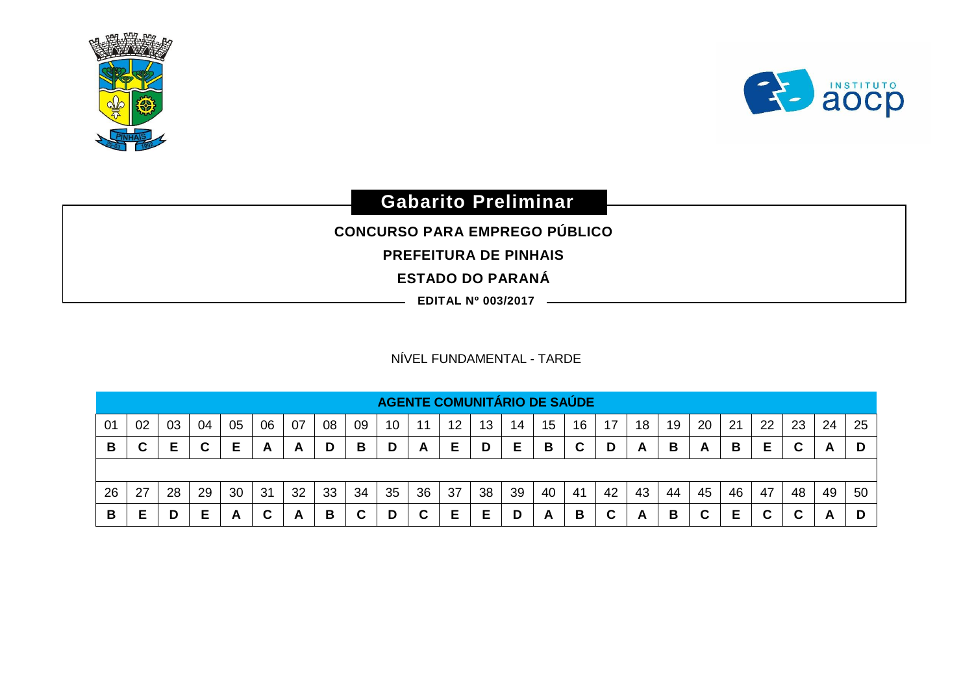



## **Gabarito Preliminar**

**CONCURSO PARA EMPREGO PÚBLICO** 

**PREFEITURA DE PINHAIS**

**ESTADO DO PARANÁ**

**EDITAL Nº 003/2017**

## NÍVEL FUNDAMENTAL - TARDE

|    | <b>AGENTE COMUNITÁRIO DE SAÚDE</b> |    |    |    |    |    |    |        |                 |    |    |    |    |    |    |    |              |    |        |    |        |    |    |    |
|----|------------------------------------|----|----|----|----|----|----|--------|-----------------|----|----|----|----|----|----|----|--------------|----|--------|----|--------|----|----|----|
| 01 | 02                                 | 03 | 04 | 05 | 06 | 07 | 08 | 09     | 10 <sup>°</sup> | 11 | 12 | 13 | 14 | 15 | 16 | 17 | 18           | 19 | 20     | 21 | 22     | 23 | 24 | 25 |
| B  | Ê<br>ັ                             | F  |    |    | A  | A  | D  | В      | D               | A  | Е  | D  | Е  | в  | C  |    | $\mathsf{A}$ | в  | A      | В  | E      |    | A  |    |
|    |                                    |    |    |    |    |    |    |        |                 |    |    |    |    |    |    |    |              |    |        |    |        |    |    |    |
| 26 | 27                                 | 28 | 29 | 30 | 31 | 32 | 33 | 34     | 35              | 36 | 37 | 38 | 39 | 40 | 41 | 42 | 43           | 44 | 45     | 46 | 47     | 48 | 49 | 50 |
| B  | E                                  | D  | E  | A  | C  | A  | В  | ∼<br>ື | D               |    | Е  |    | D  | A  | В  |    | A            | В  | r<br>ັ | E  | ~<br>u | ື  | A  |    |